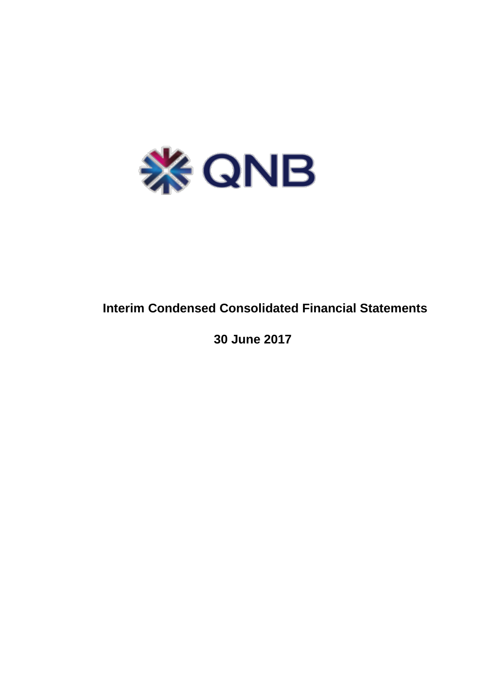

# **Interim Condensed Consolidated Financial Statements**

 **30 June 2017**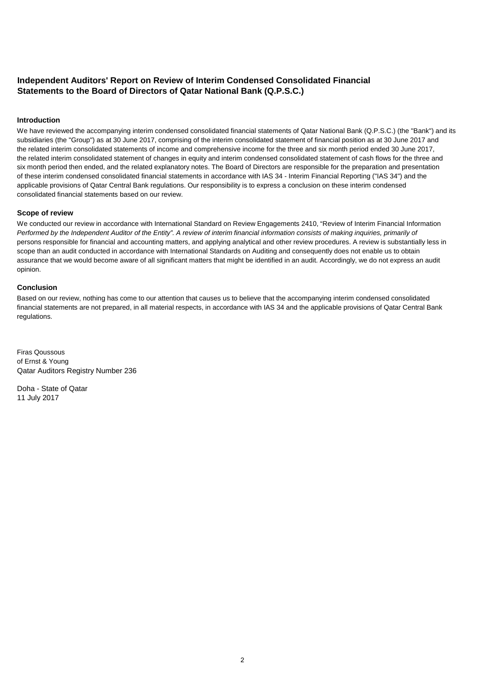# **Independent Auditors' Report on Review of Interim Condensed Consolidated Financial Statements to the Board of Directors of Qatar National Bank (Q.P.S.C.)**

## **Introduction**

We have reviewed the accompanying interim condensed consolidated financial statements of Qatar National Bank (Q.P.S.C.) (the "Bank") and its subsidiaries (the "Group") as at 30 June 2017, comprising of the interim consolidated statement of financial position as at 30 June 2017 and the related interim consolidated statements of income and comprehensive income for the three and six month period ended 30 June 2017, the related interim consolidated statement of changes in equity and interim condensed consolidated statement of cash flows for the three and six month period then ended, and the related explanatory notes. The Board of Directors are responsible for the preparation and presentation of these interim condensed consolidated financial statements in accordance with IAS 34 - Interim Financial Reporting ("IAS 34") and the applicable provisions of Qatar Central Bank regulations. Our responsibility is to express a conclusion on these interim condensed consolidated financial statements based on our review.

## **Scope of review**

We conducted our review in accordance with International Standard on Review Engagements 2410, "Review of Interim Financial Information *Performed by the Independent Auditor of the Entity". A review of interim financial information consists of making inquiries, primarily of* persons responsible for financial and accounting matters, and applying analytical and other review procedures. A review is substantially less in scope than an audit conducted in accordance with International Standards on Auditing and consequently does not enable us to obtain assurance that we would become aware of all significant matters that might be identified in an audit. Accordingly, we do not express an audit opinion.

## **Conclusion**

Based on our review, nothing has come to our attention that causes us to believe that the accompanying interim condensed consolidated financial statements are not prepared, in all material respects, in accordance with IAS 34 and the applicable provisions of Qatar Central Bank regulations.

Firas Qoussous of Ernst & Young Qatar Auditors Registry Number 236

Doha - State of Qatar 11 July 2017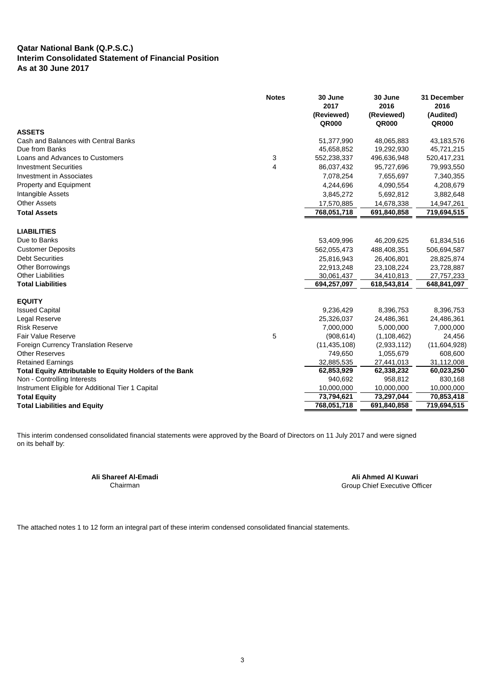## **Qatar National Bank (Q.P.S.C.) Interim Consolidated Statement of Financial Position As at 30 June 2017**

|                                                         | <b>Notes</b> | 30 June<br>2017<br>(Reviewed)<br><b>QR000</b> | 30 June<br>2016<br>(Reviewed)<br><b>QR000</b> | 31 December<br>2016<br>(Audited)<br>QR000 |
|---------------------------------------------------------|--------------|-----------------------------------------------|-----------------------------------------------|-------------------------------------------|
| <b>ASSETS</b>                                           |              |                                               |                                               |                                           |
| Cash and Balances with Central Banks                    |              | 51,377,990                                    | 48,065,883                                    | 43,183,576                                |
| Due from Banks                                          |              | 45,658,852                                    | 19,292,930                                    | 45,721,215                                |
| Loans and Advances to Customers                         | 3            | 552,238,337                                   | 496,636,948                                   | 520,417,231                               |
| <b>Investment Securities</b>                            | 4            | 86,037,432                                    | 95,727,696                                    | 79,993,550                                |
| Investment in Associates                                |              | 7,078,254                                     | 7,655,697                                     | 7,340,355                                 |
| Property and Equipment                                  |              | 4,244,696                                     | 4,090,554                                     | 4,208,679                                 |
| Intangible Assets                                       |              | 3,845,272                                     | 5,692,812                                     | 3,882,648                                 |
| <b>Other Assets</b>                                     |              | 17,570,885                                    | 14,678,338                                    | 14,947,261                                |
| <b>Total Assets</b>                                     |              | 768,051,718                                   | 691,840,858                                   | 719,694,515                               |
|                                                         |              |                                               |                                               |                                           |
| <b>LIABILITIES</b>                                      |              |                                               |                                               |                                           |
| Due to Banks                                            |              | 53,409,996                                    | 46,209,625                                    | 61,834,516                                |
| <b>Customer Deposits</b>                                |              | 562,055,473                                   | 488,408,351                                   | 506,694,587                               |
| <b>Debt Securities</b>                                  |              | 25,816,943                                    | 26,406,801                                    | 28,825,874                                |
| <b>Other Borrowings</b>                                 |              | 22,913,248                                    | 23,108,224                                    | 23,728,887                                |
| <b>Other Liabilities</b>                                |              | 30,061,437                                    | 34,410,813                                    | 27,757,233                                |
| <b>Total Liabilities</b>                                |              | 694,257,097                                   | 618,543,814                                   | 648,841,097                               |
| <b>EQUITY</b>                                           |              |                                               |                                               |                                           |
| <b>Issued Capital</b>                                   |              | 9,236,429                                     | 8,396,753                                     | 8,396,753                                 |
| Legal Reserve                                           |              | 25,326,037                                    | 24,486,361                                    | 24,486,361                                |
| <b>Risk Reserve</b>                                     |              | 7,000,000                                     | 5,000,000                                     | 7,000,000                                 |
| <b>Fair Value Reserve</b>                               | 5            | (908, 614)                                    | (1, 108, 462)                                 | 24,456                                    |
| Foreign Currency Translation Reserve                    |              | (11, 435, 108)                                | (2,933,112)                                   | (11,604,928)                              |
| <b>Other Reserves</b>                                   |              | 749,650                                       | 1,055,679                                     | 608,600                                   |
| <b>Retained Earnings</b>                                |              | 32,885,535                                    | 27,441,013                                    | 31,112,008                                |
| Total Equity Attributable to Equity Holders of the Bank |              | 62,853,929                                    | 62,338,232                                    | 60,023,250                                |
| Non - Controlling Interests                             |              | 940,692                                       | 958,812                                       | 830,168                                   |
| Instrument Eligible for Additional Tier 1 Capital       |              | 10,000,000                                    | 10,000,000                                    | 10,000,000                                |
| <b>Total Equity</b>                                     |              | 73,794,621                                    | 73,297,044                                    | 70,853,418                                |
| <b>Total Liabilities and Equity</b>                     |              | 768,051,718                                   | 691,840,858                                   | 719,694,515                               |

This interim condensed consolidated financial statements were approved by the Board of Directors on 11 July 2017 and were signed on its behalf by:

**Ali Shareef Al-Emadi Ali Ahmed Al Kuwari** Group Chief Executive Officer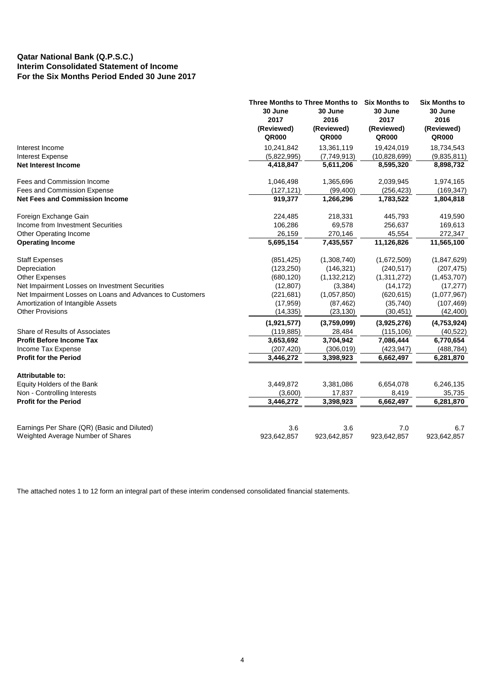# **Qatar National Bank (Q.P.S.C.) Interim Consolidated Statement of Income For the Six Months Period Ended 30 June 2017**

|                                                          | Three Months to Three Months to<br>30 June<br>2017 | 30 June<br>2016     | <b>Six Months to</b><br>30 June<br>2017 | <b>Six Months to</b><br>30 June<br>2016 |
|----------------------------------------------------------|----------------------------------------------------|---------------------|-----------------------------------------|-----------------------------------------|
|                                                          | (Reviewed)<br>QR000                                | (Reviewed)<br>QR000 | (Reviewed)<br><b>QR000</b>              | (Reviewed)<br>QR000                     |
| Interest Income                                          | 10,241,842                                         | 13,361,119          | 19,424,019                              | 18,734,543                              |
| <b>Interest Expense</b>                                  | (5,822,995)                                        | (7,749,913)         | (10,828,699)                            | (9,835,811)                             |
| <b>Net Interest Income</b>                               | 4,418,847                                          | 5,611,206           | 8,595,320                               | 8,898,732                               |
| Fees and Commission Income                               | 1,046,498                                          | 1,365,696           | 2,039,945                               | 1,974,165                               |
| Fees and Commission Expense                              | (127, 121)                                         | (99, 400)           | (256, 423)                              | (169, 347)                              |
| <b>Net Fees and Commission Income</b>                    | 919,377                                            | 1,266,296           | 1,783,522                               | 1,804,818                               |
| Foreign Exchange Gain                                    | 224,485                                            | 218,331             | 445,793                                 | 419,590                                 |
| Income from Investment Securities                        | 106,286                                            | 69,578              | 256,637                                 | 169,613                                 |
| Other Operating Income                                   | 26,159                                             | 270,146             | 45,554                                  | 272,347                                 |
| <b>Operating Income</b>                                  | 5,695,154                                          | 7,435,557           | 11,126,826                              | 11,565,100                              |
| <b>Staff Expenses</b>                                    | (851, 425)                                         | (1,308,740)         | (1,672,509)                             | (1,847,629)                             |
| Depreciation                                             | (123, 250)                                         | (146, 321)          | (240, 517)                              | (207, 475)                              |
| <b>Other Expenses</b>                                    | (680, 120)                                         | (1, 132, 212)       | (1,311,272)                             | (1,453,707)                             |
| Net Impairment Losses on Investment Securities           | (12, 807)                                          | (3, 384)            | (14, 172)                               | (17, 277)                               |
| Net Impairment Losses on Loans and Advances to Customers | (221, 681)                                         | (1,057,850)         | (620, 615)                              | (1,077,967)                             |
| Amortization of Intangible Assets                        | (17, 959)                                          | (87, 462)           | (35,740)                                | (107, 469)                              |
| <b>Other Provisions</b>                                  | (14, 335)                                          | (23, 130)           | (30, 451)                               | (42, 400)                               |
|                                                          | (1,921,577)                                        | (3,759,099)         | (3,925,276)                             | (4,753,924)                             |
| Share of Results of Associates                           | (119, 885)                                         | 28,484              | (115, 106)                              | (40, 522)                               |
| <b>Profit Before Income Tax</b>                          | 3,653,692                                          | 3,704,942           | 7,086,444                               | 6,770,654                               |
| Income Tax Expense                                       | (207, 420)                                         | (306, 019)          | (423, 947)                              | (488, 784)                              |
| <b>Profit for the Period</b>                             | 3,446,272                                          | 3,398,923           | 6,662,497                               | 6,281,870                               |
| Attributable to:                                         |                                                    |                     |                                         |                                         |
| Equity Holders of the Bank                               | 3,449,872                                          | 3,381,086           | 6,654,078                               | 6,246,135                               |
| Non - Controlling Interests                              | (3,600)                                            | 17,837              | 8,419                                   | 35,735                                  |
| <b>Profit for the Period</b>                             | 3,446,272                                          | 3,398,923           | 6,662,497                               | 6,281,870                               |
|                                                          |                                                    |                     |                                         |                                         |
| Earnings Per Share (QR) (Basic and Diluted)              | 3.6                                                | 3.6                 | 7.0                                     | 6.7                                     |
| Weighted Average Number of Shares                        | 923,642,857                                        | 923,642,857         | 923,642,857                             | 923,642,857                             |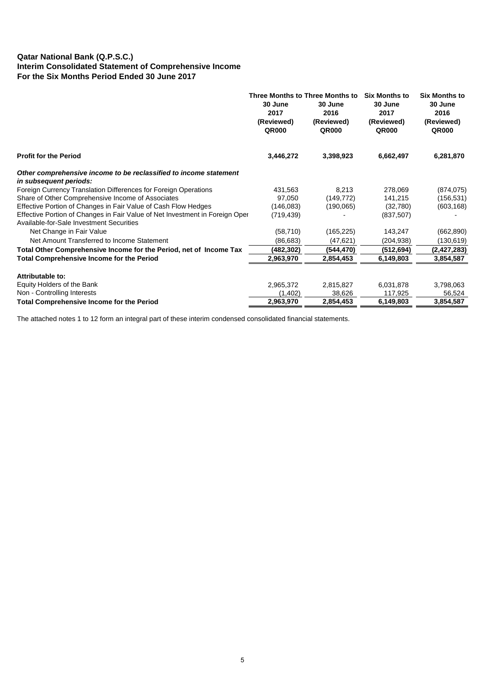# **Qatar National Bank (Q.P.S.C.) Interim Consolidated Statement of Comprehensive Income For the Six Months Period Ended 30 June 2017**

| 30 June<br>2017<br>(Reviewed)<br><b>QR000</b>                                             | 30 June<br>2016<br>(Reviewed)<br><b>QR000</b> | <b>Six Months to</b><br>30 June<br>2017<br>(Reviewed)<br><b>QR000</b> | <b>Six Months to</b><br>30 June<br>2016<br>(Reviewed)<br><b>QR000</b> |
|-------------------------------------------------------------------------------------------|-----------------------------------------------|-----------------------------------------------------------------------|-----------------------------------------------------------------------|
| 3,446,272                                                                                 | 3,398,923                                     | 6,662,497                                                             | 6,281,870                                                             |
|                                                                                           |                                               |                                                                       |                                                                       |
| 431,563                                                                                   | 8,213                                         | 278,069                                                               | (874, 075)                                                            |
| 97,050                                                                                    | (149, 772)                                    | 141,215                                                               | (156,531)                                                             |
| (146, 083)                                                                                | (190,065)                                     | (32,780)                                                              | (603, 168)                                                            |
| Effective Portion of Changes in Fair Value of Net Investment in Foreign Oper<br>(719,439) |                                               | (837, 507)                                                            |                                                                       |
| (58, 710)                                                                                 | (165, 225)                                    | 143,247                                                               | (662, 890)                                                            |
| (86, 683)                                                                                 | (47, 621)                                     | (204, 938)                                                            | (130,619)                                                             |
| (482,302)                                                                                 | (544,470)                                     | (512,694)                                                             | (2, 427, 283)                                                         |
| 2,963,970                                                                                 | 2,854,453                                     | 6,149,803                                                             | 3,854,587                                                             |
|                                                                                           |                                               |                                                                       |                                                                       |
| 2,965,372                                                                                 | 2,815,827                                     | 6,031,878                                                             | 3,798,063                                                             |
| (1,402)                                                                                   | 38,626                                        | 117,925                                                               | 56,524                                                                |
| 2,963,970                                                                                 | 2.854.453                                     | 6,149,803                                                             | 3,854,587                                                             |
|                                                                                           |                                               | Three Months to Three Months to                                       |                                                                       |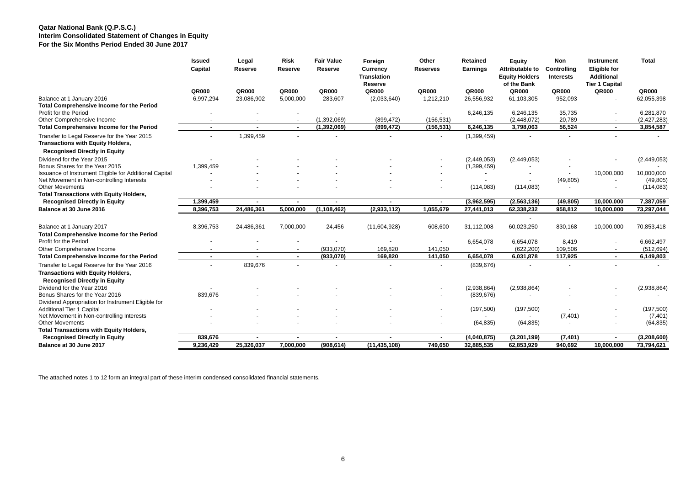## **Qatar National Bank (Q.P.S.C.) Interim Consolidated Statement of Changes in Equity For the Six Months Period Ended 30 June 2017**

|                                                                                         | <b>Issued</b><br>Capital | Legal<br>Reserve | <b>Risk</b><br>Reserve | <b>Fair Value</b><br>Reserve | Foreign<br>Currency<br><b>Translation</b><br>Reserve | Other<br><b>Reserves</b> | Retained<br>Earnings | Equity<br>Attributable to<br><b>Equity Holders</b><br>of the Bank | Non<br>Controlling<br><b>Interests</b> | Instrument<br><b>Eligible for</b><br><b>Additional</b><br><b>Tier 1 Capital</b> | <b>Total</b>  |
|-----------------------------------------------------------------------------------------|--------------------------|------------------|------------------------|------------------------------|------------------------------------------------------|--------------------------|----------------------|-------------------------------------------------------------------|----------------------------------------|---------------------------------------------------------------------------------|---------------|
|                                                                                         | QR000                    | QR000            | <b>QR000</b>           | <b>QR000</b>                 | <b>QR000</b>                                         | QR000                    | QR000                | <b>QR000</b>                                                      | <b>QR000</b>                           | QR000                                                                           | QR000         |
| Balance at 1 January 2016                                                               | 6,997,294                | 23,086,902       | 5,000,000              | 283,607                      | (2,033,640)                                          | 1,212,210                | 26,556,932           | 61,103,305                                                        | 952,093                                |                                                                                 | 62,055,398    |
| <b>Total Comprehensive Income for the Period</b>                                        |                          |                  |                        |                              |                                                      |                          |                      |                                                                   |                                        |                                                                                 |               |
| Profit for the Period                                                                   |                          |                  |                        |                              |                                                      |                          | 6,246,135            | 6,246,135                                                         | 35,735                                 | $\sim$                                                                          | 6,281,870     |
| Other Comprehensive Income                                                              |                          |                  |                        | (1,392,069)                  | (899, 472)                                           | (156, 531)               |                      | (2,448,072)                                                       | 20,789                                 |                                                                                 | (2, 427, 283) |
| Total Comprehensive Income for the Period                                               | $\sim$                   |                  | $\sim$                 | (1, 392, 069)                | (899, 472)                                           | (156, 531)               | 6,246,135            | 3,798,063                                                         | 56,524                                 | $\blacksquare$                                                                  | 3,854,587     |
| Transfer to Legal Reserve for the Year 2015<br><b>Transactions with Equity Holders,</b> |                          | 1,399,459        |                        | ٠                            |                                                      | $\sim$                   | (1,399,459)          |                                                                   |                                        |                                                                                 |               |
| <b>Recognised Directly in Equity</b>                                                    |                          |                  |                        |                              |                                                      |                          |                      |                                                                   |                                        |                                                                                 |               |
| Dividend for the Year 2015                                                              |                          |                  |                        |                              |                                                      |                          | (2,449,053)          | (2,449,053)                                                       |                                        |                                                                                 | (2,449,053)   |
| Bonus Shares for the Year 2015                                                          | 1,399,459                |                  |                        |                              |                                                      |                          | (1,399,459)          |                                                                   |                                        |                                                                                 |               |
| Issuance of Instrument Eligible for Additional Capital                                  |                          |                  |                        |                              |                                                      |                          |                      |                                                                   |                                        | 10,000,000                                                                      | 10,000,000    |
| Net Movement in Non-controlling Interests                                               |                          |                  |                        |                              |                                                      |                          | $\overline{a}$       |                                                                   | (49, 805)                              | $\blacksquare$                                                                  | (49, 805)     |
| <b>Other Movements</b>                                                                  |                          |                  |                        |                              |                                                      |                          | (114, 083)           | (114, 083)                                                        |                                        | $\blacksquare$                                                                  | (114, 083)    |
| <b>Total Transactions with Equity Holders,</b>                                          |                          |                  |                        |                              |                                                      |                          |                      |                                                                   |                                        |                                                                                 |               |
| <b>Recognised Directly in Equity</b>                                                    | 1,399,459                |                  |                        | $\blacksquare$               |                                                      |                          | (3,962,595)          | (2,563,136)                                                       | (49, 805)                              | 10,000,000                                                                      | 7,387,059     |
| Balance at 30 June 2016                                                                 | 8,396,753                | 24,486,361       | 5,000,000              | (1, 108, 462)                | (2,933,112)                                          | 1,055,679                | 27,441,013           | 62,338,232                                                        | 958,812                                | 10,000,000                                                                      | 73,297,044    |
|                                                                                         |                          |                  |                        |                              |                                                      |                          |                      |                                                                   |                                        |                                                                                 |               |
| Balance at 1 January 2017<br><b>Total Comprehensive Income for the Period</b>           | 8,396,753                | 24,486,361       | 7,000,000              | 24,456                       | (11,604,928)                                         | 608,600                  | 31,112,008           | 60,023,250                                                        | 830,168                                | 10,000,000                                                                      | 70,853,418    |
| Profit for the Period                                                                   |                          |                  |                        |                              |                                                      |                          | 6,654,078            | 6,654,078                                                         | 8,419                                  | $\blacksquare$                                                                  | 6,662,497     |
| Other Comprehensive Income                                                              |                          |                  |                        | (933,070)                    | 169,820                                              | 141,050                  |                      | (622, 200)                                                        | 109,506                                | $\overline{\phantom{a}}$                                                        | (512, 694)    |
| <b>Total Comprehensive Income for the Period</b>                                        |                          |                  |                        | (933,070)                    | 169,820                                              | 141,050                  | 6,654,078            | 6,031,878                                                         | 117,925                                | $\blacksquare$                                                                  | 6,149,803     |
|                                                                                         |                          | 839,676          |                        |                              |                                                      |                          |                      |                                                                   |                                        |                                                                                 |               |
| Transfer to Legal Reserve for the Year 2016<br><b>Transactions with Equity Holders,</b> |                          |                  |                        |                              |                                                      |                          | (839, 676)           |                                                                   |                                        |                                                                                 |               |
| <b>Recognised Directly in Equity</b>                                                    |                          |                  |                        |                              |                                                      |                          |                      |                                                                   |                                        |                                                                                 |               |
| Dividend for the Year 2016<br>Bonus Shares for the Year 2016                            |                          |                  |                        |                              |                                                      |                          | (2,938,864)          | (2,938,864)                                                       |                                        |                                                                                 | (2,938,864)   |
|                                                                                         | 839,676                  |                  |                        |                              |                                                      |                          | (839, 676)           |                                                                   |                                        |                                                                                 |               |
| Dividend Appropriation for Instrument Eligible for<br><b>Additional Tier 1 Capital</b>  |                          |                  |                        |                              |                                                      |                          | (197,500)            | (197,500)                                                         |                                        |                                                                                 | (197,500)     |
| Net Movement in Non-controlling Interests                                               |                          |                  |                        |                              |                                                      |                          |                      |                                                                   | $\overline{\phantom{a}}$<br>(7, 401)   |                                                                                 | (7, 401)      |
| <b>Other Movements</b>                                                                  |                          |                  |                        |                              |                                                      |                          | (64, 835)            | (64, 835)                                                         |                                        |                                                                                 | (64, 835)     |
| <b>Total Transactions with Equity Holders,</b>                                          |                          |                  |                        |                              |                                                      |                          |                      |                                                                   |                                        |                                                                                 |               |
| <b>Recognised Directly in Equity</b>                                                    | 839,676                  |                  | $\sim$                 | $\blacksquare$               | $\overline{\phantom{a}}$                             | $\blacksquare$           | (4,040,875)          | (3,201,199)                                                       | (7, 401)                               | $\blacksquare$                                                                  | (3,208,600)   |
| Balance at 30 June 2017                                                                 | 9,236,429                | 25,326,037       | 7,000,000              | (908, 614)                   | (11, 435, 108)                                       | 749,650                  | 32,885,535           | 62,853,929                                                        | 940,692                                | 10,000,000                                                                      | 73,794,621    |
|                                                                                         |                          |                  |                        |                              |                                                      |                          |                      |                                                                   |                                        |                                                                                 |               |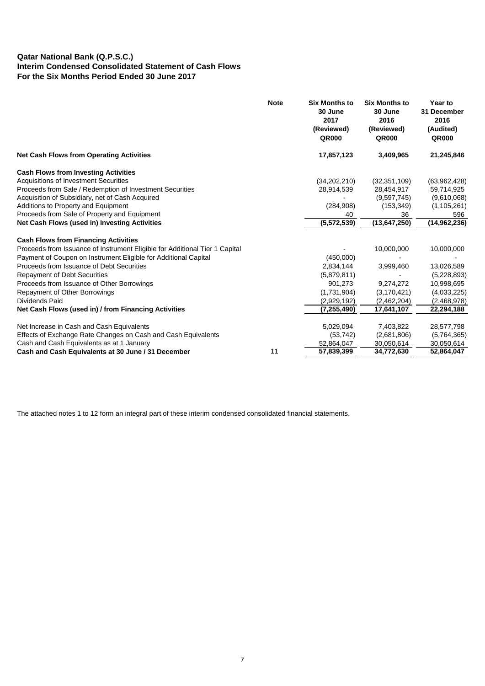# **Qatar National Bank (Q.P.S.C.) Interim Condensed Consolidated Statement of Cash Flows For the Six Months Period Ended 30 June 2017**

|                                                                             | <b>Note</b> | <b>Six Months to</b><br>30 June<br>2017<br>(Reviewed)<br><b>QR000</b> | <b>Six Months to</b><br>30 June<br>2016<br>(Reviewed)<br><b>QR000</b> | Year to<br>31 December<br>2016<br>(Audited)<br><b>QR000</b> |
|-----------------------------------------------------------------------------|-------------|-----------------------------------------------------------------------|-----------------------------------------------------------------------|-------------------------------------------------------------|
| <b>Net Cash Flows from Operating Activities</b>                             |             | 17,857,123                                                            | 3,409,965                                                             | 21,245,846                                                  |
| <b>Cash Flows from Investing Activities</b>                                 |             |                                                                       |                                                                       |                                                             |
| <b>Acquisitions of Investment Securities</b>                                |             | (34, 202, 210)                                                        | (32, 351, 109)                                                        | (63,962,428)                                                |
| Proceeds from Sale / Redemption of Investment Securities                    |             | 28,914,539                                                            | 28,454,917                                                            | 59,714,925                                                  |
| Acquisition of Subsidiary, net of Cash Acquired                             |             |                                                                       | (9,597,745)                                                           | (9,610,068)                                                 |
| Additions to Property and Equipment                                         |             | (284,908)                                                             | (153, 349)                                                            | (1, 105, 261)                                               |
| Proceeds from Sale of Property and Equipment                                |             | 40                                                                    | 36                                                                    | 596                                                         |
| Net Cash Flows (used in) Investing Activities                               |             | (5,572,539)                                                           | (13, 647, 250)                                                        | (14, 962, 236)                                              |
| <b>Cash Flows from Financing Activities</b>                                 |             |                                                                       |                                                                       |                                                             |
| Proceeds from Issuance of Instrument Eligible for Additional Tier 1 Capital |             |                                                                       | 10,000,000                                                            | 10,000,000                                                  |
| Payment of Coupon on Instrument Eligible for Additional Capital             |             | (450,000)                                                             |                                                                       |                                                             |
| Proceeds from Issuance of Debt Securities                                   |             | 2,834,144                                                             | 3,999,460                                                             | 13,026,589                                                  |
| <b>Repayment of Debt Securities</b>                                         |             | (5,879,811)                                                           |                                                                       | (5,228,893)                                                 |
| Proceeds from Issuance of Other Borrowings                                  |             | 901,273                                                               | 9,274,272                                                             | 10,998,695                                                  |
|                                                                             |             |                                                                       | (3, 170, 421)                                                         |                                                             |
| Repayment of Other Borrowings<br>Dividends Paid                             |             | (1,731,904)                                                           |                                                                       | (4,033,225)                                                 |
|                                                                             |             | (2,929,192)                                                           | (2,462,204)                                                           | (2,468,978)                                                 |
| Net Cash Flows (used in) / from Financing Activities                        |             | (7, 255, 490)                                                         | 17,641,107                                                            | 22,294,188                                                  |
| Net Increase in Cash and Cash Equivalents                                   |             | 5,029,094                                                             | 7,403,822                                                             | 28,577,798                                                  |
| Effects of Exchange Rate Changes on Cash and Cash Equivalents               |             | (53, 742)                                                             | (2,681,806)                                                           | (5,764,365)                                                 |
| Cash and Cash Equivalents as at 1 January                                   |             | 52,864,047                                                            | 30,050,614                                                            | 30,050,614                                                  |
| Cash and Cash Equivalents at 30 June / 31 December                          | 11          | 57,839,399                                                            | 34,772,630                                                            | 52,864,047                                                  |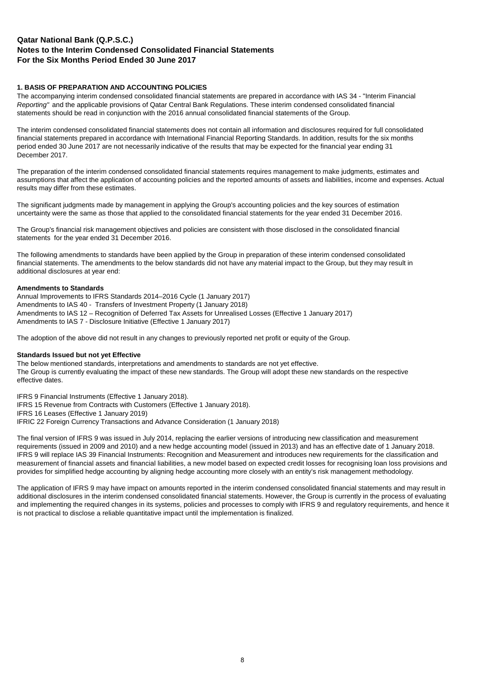## **1. BASIS OF PREPARATION AND ACCOUNTING POLICIES**

The accompanying interim condensed consolidated financial statements are prepared in accordance with IAS 34 - "Interim Financial *Reporting"* and the applicable provisions of Qatar Central Bank Regulations. These interim condensed consolidated financial statements should be read in conjunction with the 2016 annual consolidated financial statements of the Group.

The interim condensed consolidated financial statements does not contain all information and disclosures required for full consolidated financial statements prepared in accordance with International Financial Reporting Standards. In addition, results for the six months period ended 30 June 2017 are not necessarily indicative of the results that may be expected for the financial year ending 31 December 2017.

The preparation of the interim condensed consolidated financial statements requires management to make judgments, estimates and assumptions that affect the application of accounting policies and the reported amounts of assets and liabilities, income and expenses. Actual results may differ from these estimates.

The significant judgments made by management in applying the Group's accounting policies and the key sources of estimation uncertainty were the same as those that applied to the consolidated financial statements for the year ended 31 December 2016.

The Group's financial risk management objectives and policies are consistent with those disclosed in the consolidated financial statements for the year ended 31 December 2016.

The following amendments to standards have been applied by the Group in preparation of these interim condensed consolidated financial statements. The amendments to the below standards did not have any material impact to the Group, but they may result in additional disclosures at year end:

#### **Amendments to Standards**

Annual Improvements to IFRS Standards 2014–2016 Cycle (1 January 2017) Amendments to IAS 40 - Transfers of Investment Property (1 January 2018) Amendments to IAS 12 – Recognition of Deferred Tax Assets for Unrealised Losses (Effective 1 January 2017) Amendments to IAS 7 - Disclosure Initiative (Effective 1 January 2017)

The adoption of the above did not result in any changes to previously reported net profit or equity of the Group.

### **Standards Issued but not yet Effective**

The below mentioned standards, interpretations and amendments to standards are not yet effective. The Group is currently evaluating the impact of these new standards. The Group will adopt these new standards on the respective effective dates.

IFRS 9 Financial Instruments (Effective 1 January 2018).

IFRS 15 Revenue from Contracts with Customers (Effective 1 January 2018).

IFRS 16 Leases (Effective 1 January 2019)

IFRIC 22 Foreign Currency Transactions and Advance Consideration (1 January 2018)

The final version of IFRS 9 was issued in July 2014, replacing the earlier versions of introducing new classification and measurement requirements (issued in 2009 and 2010) and a new hedge accounting model (issued in 2013) and has an effective date of 1 January 2018. IFRS 9 will replace IAS 39 Financial Instruments: Recognition and Measurement and introduces new requirements for the classification and measurement of financial assets and financial liabilities, a new model based on expected credit losses for recognising loan loss provisions and provides for simplified hedge accounting by aligning hedge accounting more closely with an entity's risk management methodology.

The application of IFRS 9 may have impact on amounts reported in the interim condensed consolidated financial statements and may result in additional disclosures in the interim condensed consolidated financial statements. However, the Group is currently in the process of evaluating and implementing the required changes in its systems, policies and processes to comply with IFRS 9 and regulatory requirements, and hence it is not practical to disclose a reliable quantitative impact until the implementation is finalized.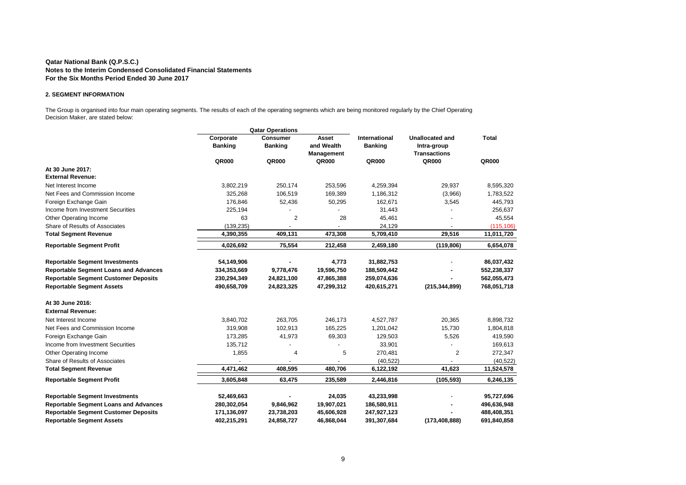#### **2. SEGMENT INFORMATION**

The Group is organised into four main operating segments. The results of each of the operating segments which are being monitored regularly by the Chief Operating Decision Maker, are stated below:

| <b>Qatar Operations</b>                      |                |                |                |                |                        |              |
|----------------------------------------------|----------------|----------------|----------------|----------------|------------------------|--------------|
|                                              | Corporate      | Consumer       | Asset          | International  | <b>Unallocated and</b> | <b>Total</b> |
|                                              | <b>Banking</b> | <b>Banking</b> | and Wealth     | <b>Banking</b> | Intra-group            |              |
|                                              |                |                | Management     |                | <b>Transactions</b>    |              |
|                                              | QR000          | QR000          | QR000          | QR000          | QR000                  | QR000        |
| At 30 June 2017:                             |                |                |                |                |                        |              |
| <b>External Revenue:</b>                     |                |                |                |                |                        |              |
| Net Interest Income                          | 3,802,219      | 250,174        | 253,596        | 4,259,394      | 29,937                 | 8,595,320    |
| Net Fees and Commission Income               | 325,268        | 106,519        | 169,389        | 1,186,312      | (3,966)                | 1,783,522    |
| Foreign Exchange Gain                        | 176,846        | 52,436         | 50,295         | 162,671        | 3,545                  | 445,793      |
| Income from Investment Securities            | 225,194        |                |                | 31,443         |                        | 256,637      |
| Other Operating Income                       | 63             | 2              | 28             | 45,461         |                        | 45,554       |
| Share of Results of Associates               | (139, 235)     |                |                | 24,129         |                        | (115, 106)   |
| <b>Total Segment Revenue</b>                 | 4,390,355      | 409,131        | 473,308        | 5,709,410      | 29,516                 | 11,011,720   |
| <b>Reportable Segment Profit</b>             | 4,026,692      | 75,554         | 212,458        | 2,459,180      | (119, 806)             | 6,654,078    |
| <b>Reportable Segment Investments</b>        | 54,149,906     |                | 4,773          | 31,882,753     |                        | 86,037,432   |
| <b>Reportable Segment Loans and Advances</b> | 334,353,669    | 9,778,476      | 19,596,750     | 188,509,442    |                        | 552,238,337  |
| <b>Reportable Segment Customer Deposits</b>  | 230,294,349    | 24,821,100     | 47,865,388     | 259,074,636    |                        | 562,055,473  |
| <b>Reportable Segment Assets</b>             | 490,658,709    | 24,823,325     | 47,299,312     | 420,615,271    | (215, 344, 899)        | 768,051,718  |
| At 30 June 2016:                             |                |                |                |                |                        |              |
| <b>External Revenue:</b>                     |                |                |                |                |                        |              |
| Net Interest Income                          | 3,840,702      | 263,705        | 246,173        | 4,527,787      | 20,365                 | 8,898,732    |
| Net Fees and Commission Income               | 319,908        | 102,913        | 165,225        | 1,201,042      | 15,730                 | 1,804,818    |
| Foreign Exchange Gain                        | 173,285        | 41,973         | 69,303         | 129,503        | 5,526                  | 419,590      |
| Income from Investment Securities            | 135,712        |                |                | 33,901         |                        | 169,613      |
| Other Operating Income                       | 1,855          | 4              | 5              | 270,481        | $\overline{2}$         | 272,347      |
| Share of Results of Associates               |                |                | $\overline{a}$ | (40, 522)      |                        | (40, 522)    |
| <b>Total Segment Revenue</b>                 | 4,471,462      | 408,595        | 480,706        | 6,122,192      | 41,623                 | 11,524,578   |
| <b>Reportable Segment Profit</b>             | 3,605,848      | 63,475         | 235,589        | 2,446,816      | (105, 593)             | 6,246,135    |
| <b>Reportable Segment Investments</b>        | 52,469,663     |                | 24,035         | 43,233,998     |                        | 95,727,696   |
| <b>Reportable Segment Loans and Advances</b> | 280,302,054    | 9,846,962      | 19,907,021     | 186,580,911    |                        | 496,636,948  |
| <b>Reportable Segment Customer Deposits</b>  | 171,136,097    | 23,738,203     | 45,606,928     | 247,927,123    |                        | 488,408,351  |
| <b>Reportable Segment Assets</b>             | 402,215,291    | 24,858,727     | 46,868,044     | 391,307,684    | (173, 408, 888)        | 691,840,858  |
|                                              |                |                |                |                |                        |              |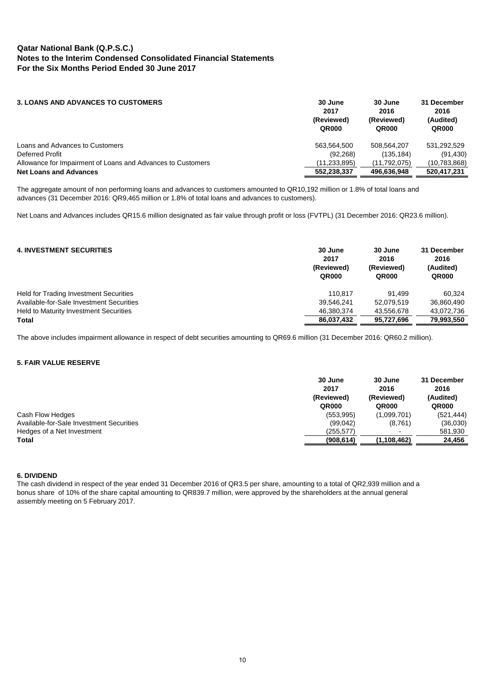| <b>3. LOANS AND ADVANCES TO CUSTOMERS</b>                   | 30 June<br>2017<br>(Reviewed)<br>QR000 | 30 June<br>2016<br>(Reviewed)<br>QR000 | 31 December<br>2016<br>(Audited)<br>QR000 |
|-------------------------------------------------------------|----------------------------------------|----------------------------------------|-------------------------------------------|
| Loans and Advances to Customers                             | 563.564.500                            | 508.564.207                            | 531.292.529                               |
| Deferred Profit                                             | (92, 268)                              | (135, 184)                             | (91, 430)                                 |
| Allowance for Impairment of Loans and Advances to Customers | (11, 233, 895)                         | (11,792,075)                           | (10, 783, 868)                            |
| <b>Net Loans and Advances</b>                               | 552.238.337                            | 496.636.948                            | 520.417.231                               |

The aggregate amount of non performing loans and advances to customers amounted to QR10,192 million or 1.8% of total loans and advances (31 December 2016: QR9,465 million or 1.8% of total loans and advances to customers).

Net Loans and Advances includes QR15.6 million designated as fair value through profit or loss (FVTPL) (31 December 2016: QR23.6 million).

| <b>4. INVESTMENT SECURITIES</b>               | 30 June<br>2017<br>(Reviewed)<br>QR000 | 30 June<br>2016<br>(Reviewed)<br>QR000 | 31 December<br>2016<br>(Audited)<br>QR000 |
|-----------------------------------------------|----------------------------------------|----------------------------------------|-------------------------------------------|
| <b>Held for Trading Investment Securities</b> | 110.817                                | 91.499                                 | 60.324                                    |
| Available-for-Sale Investment Securities      | 39,546,241                             | 52.079.519                             | 36,860,490                                |
| Held to Maturity Investment Securities        | 46,380,374                             | 43.556.678                             | 43.072.736                                |
| <b>Total</b>                                  | 86.037.432                             | 95.727.696                             | 79.993.550                                |

The above includes impairment allowance in respect of debt securities amounting to QR69.6 million (31 December 2016: QR60.2 million).

## **5. FAIR VALUE RESERVE**

|                                          | 30 June<br>2017<br>(Reviewed)<br><b>QR000</b> | 30 June<br>2016<br>(Reviewed)<br><b>QR000</b> | 31 December<br>2016<br>(Audited)<br>QR000 |
|------------------------------------------|-----------------------------------------------|-----------------------------------------------|-------------------------------------------|
| Cash Flow Hedges                         | (553, 995)                                    | (1,099,701)                                   | (521, 444)                                |
| Available-for-Sale Investment Securities | (99,042)                                      | (8,761)                                       | (36,030)                                  |
| Hedges of a Net Investment               | (255,577)                                     | $\overline{\phantom{0}}$                      | 581,930                                   |
| Total                                    | (908, 614)                                    | (1,108,462)                                   | 24,456                                    |

#### **6. DIVIDEND**

The cash dividend in respect of the year ended 31 December 2016 of QR3.5 per share, amounting to a total of QR2,939 million and a bonus share of 10% of the share capital amounting to QR839.7 million, were approved by the shareholders at the annual general assembly meeting on 5 February 2017.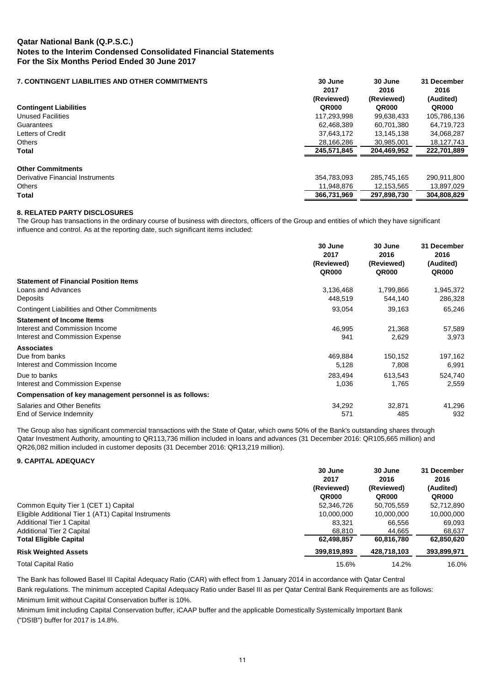## **7. CONTINGENT LIABILITIES AND OTHER COMMITMENTS 30 June 30 June 31 December 2017 2016 2016 (Reviewed) (Reviewed) (Audited) Contingent Liabilities QR000 QR000 QR000** Unused Facilities 117,293,998 99,638,433 105,786,136 Guarantees 62,468,389 60,701,380 64,719,723 Letters of Credit 37,643,172 13,145,138 34,068,287 Others 28,166,286 30,985,001 18,127,743 **Total 245,571,845 204,469,952 222,701,889 Other Commitments** Derivative Financial Instruments 354,783,093 285,745,165 290,911,800 Others 11,948,876 12,153,565 13,897,029 **Total 366,731,969 297,898,730 304,808,829**

## **8. RELATED PARTY DISCLOSURES**

The Group has transactions in the ordinary course of business with directors, officers of the Group and entities of which they have significant influence and control. As at the reporting date, such significant items included:

|                                                         | 30 June<br>2017<br>(Reviewed) | 30 June<br>2016<br>(Reviewed) | 31 December<br>2016<br>(Audited) |
|---------------------------------------------------------|-------------------------------|-------------------------------|----------------------------------|
|                                                         | <b>QR000</b>                  | <b>QR000</b>                  | <b>QR000</b>                     |
| <b>Statement of Financial Position Items</b>            |                               |                               |                                  |
| Loans and Advances                                      | 3,136,468                     | 1,799,866                     | 1,945,372                        |
| Deposits                                                | 448.519                       | 544,140                       | 286,328                          |
| <b>Contingent Liabilities and Other Commitments</b>     | 93,054                        | 39,163                        | 65,246                           |
| <b>Statement of Income Items</b>                        |                               |                               |                                  |
| Interest and Commission Income                          | 46.995                        | 21,368                        | 57,589                           |
| Interest and Commission Expense                         | 941                           | 2,629                         | 3,973                            |
| <b>Associates</b>                                       |                               |                               |                                  |
| Due from banks                                          | 469,884                       | 150,152                       | 197,162                          |
| Interest and Commission Income                          | 5,128                         | 7,808                         | 6,991                            |
| Due to banks                                            | 283.494                       | 613.543                       | 524,740                          |
| Interest and Commission Expense                         | 1,036                         | 1,765                         | 2,559                            |
| Compensation of key management personnel is as follows: |                               |                               |                                  |
| Salaries and Other Benefits                             | 34,292                        | 32,871                        | 41,296                           |
| End of Service Indemnity                                | 571                           | 485                           | 932                              |

The Group also has significant commercial transactions with the State of Qatar, which owns 50% of the Bank's outstanding shares through Qatar Investment Authority, amounting to QR113,736 million included in loans and advances (31 December 2016: QR105,665 million) and QR26,082 million included in customer deposits (31 December 2016: QR13,219 million).

#### **9. CAPITAL ADEQUACY**

|                                                      | 30 June<br>2017     | 30 June<br>2016     | 31 December<br>2016 |  |
|------------------------------------------------------|---------------------|---------------------|---------------------|--|
|                                                      | (Reviewed)<br>QR000 | (Reviewed)<br>QR000 | (Audited)<br>QR000  |  |
| Common Equity Tier 1 (CET 1) Capital                 | 52,346,726          | 50,705,559          | 52,712,890          |  |
| Eligible Additional Tier 1 (AT1) Capital Instruments | 10,000,000          | 10,000,000          | 10,000,000          |  |
| <b>Additional Tier 1 Capital</b>                     | 83.321              | 66.556              | 69.093              |  |
| <b>Additional Tier 2 Capital</b>                     | 68.810              | 44.665              | 68.637              |  |
| <b>Total Eligible Capital</b>                        | 62,498,857          | 60,816,780          | 62,850,620          |  |
| <b>Risk Weighted Assets</b>                          | 399,819,893         | 428.718.103         | 393,899,971         |  |
| <b>Total Capital Ratio</b>                           | 15.6%               | 14.2%               | 16.0%               |  |

The Bank has followed Basel III Capital Adequacy Ratio (CAR) with effect from 1 January 2014 in accordance with Qatar Central Bank regulations. The minimum accepted Capital Adequacy Ratio under Basel III as per Qatar Central Bank Requirements are as follows: Minimum limit without Capital Conservation buffer is 10%.

Minimum limit including Capital Conservation buffer, iCAAP buffer and the applicable Domestically Systemically Important Bank ("DSIB") buffer for 2017 is 14.8%.